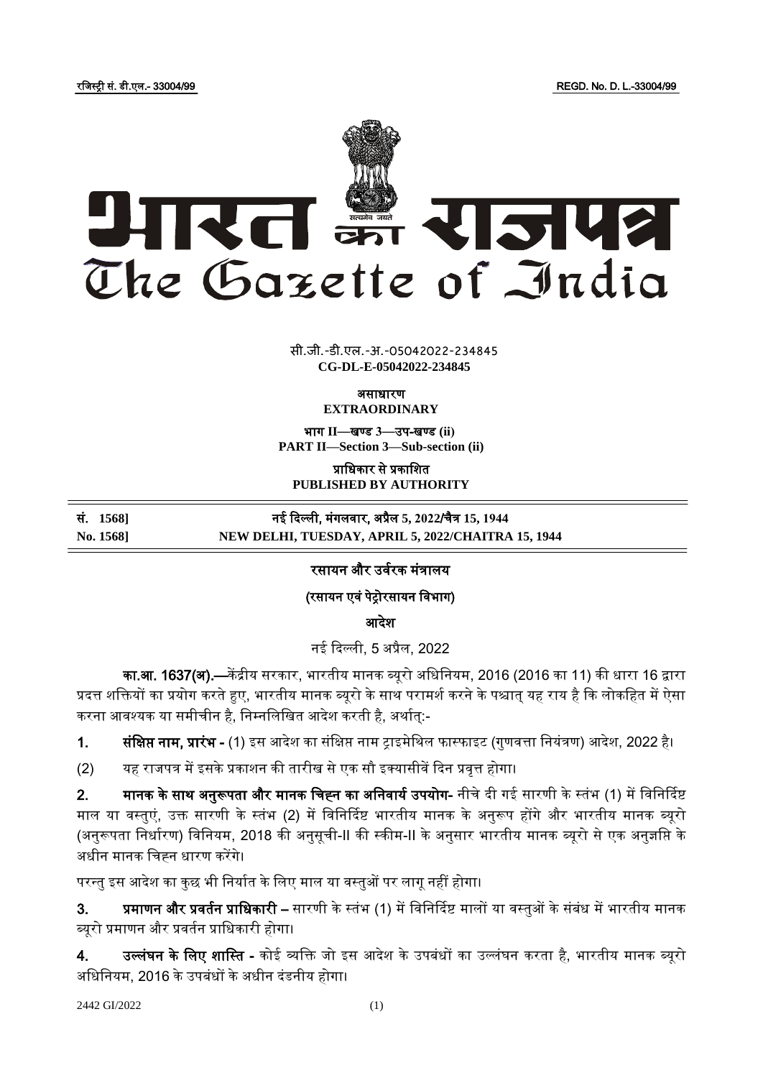रजजस्ट्री सं. डी.एल.- 33004/99 REGD. No. D. L.-33004/99



 $\overline{\phantom{a}}$   $\overline{\phantom{a}}$   $\overline{\phantom{a}}$   $\overline{\phantom{a}}$   $\overline{\phantom{a}}$   $\overline{\phantom{a}}$   $\overline{\phantom{a}}$   $\overline{\phantom{a}}$   $\overline{\phantom{a}}$   $\overline{\phantom{a}}$   $\overline{\phantom{a}}$   $\overline{\phantom{a}}$   $\overline{\phantom{a}}$   $\overline{\phantom{a}}$   $\overline{\phantom{a}}$   $\overline{\phantom{a}}$   $\overline{\phantom{a}}$   $\overline{\phantom{a}}$   $\overline{\$ **xxx**GIDE**xxx** सी.जी.-डी.एल.-अ.-05042022-234845 **CG-DL-E-05042022-234845**

असाधारण

**EXTRAORDINARY**

भाग **II**—खण् ड **3**—उप-खण् ड **(ii) PART II—Section 3—Sub-section (ii)**

प्राजधकार से प्रकाजित **PUBLISHED BY AUTHORITY**

सं. **1568]** नई ददल्ली, मंगलर्ार, अप्रैल **5, 2022**/चैत्र **15, 1944**

**No. 1568] NEW DELHI, TUESDAY, APRIL 5, 2022/CHAITRA 15, 1944**

### रसायन और उर्वरक मंत्रालय

(रसायन एर्ं पेरोरसायन जर्भाग)

आदेश

नई ददल्ली, 5 अप्रैल, 2022

का.<mark>आ. 1637(अ).—</mark>केंद्रीय सरकार, भारतीय मानक ब्यूरो अधिनियम, 2016 (2016 का 11) की धारा 16 द्वारा प्रदत्त शक्तियों का प्रयोग करते हुए, भारतीय मानक ब्यूरो के साथ परामर्श करने के पश्चात् यह राय है कि लोकहित में ऐसा करना आवश्यक या समीचीन है, निम्नलिखित आदेश करती है, अर्थात्:-

1. सं**क्षिप्त नाम, प्रारंभ -** (1) इस आदेश का संक्षिप्त नाम ट्राइमेथिल फास्फाइट (गुणवत्ता नियंत्रण) आदेश, 2022 है।

(2) यह राजपत्र में इसके प्रकाशन की तारीख से एक सौ इक्यासीवें दिन प्रवृत्त होगा।

2. **मानक के साथ अनुरूपता और मानक चिह्न का अनिवार्य उपयोग-** नीचे दी गई सारणी के स्तंभ (1) में विनिर्दिष्ट माल या वस्तुएं, उक्त सारणी के स्तंभ (2) में विनिर्दिष्ट भारतीय मानक के अनुरूप होंगे और भारतीय मानक ब्यूरो (अनुरूपता निर्धारण) विनियम, 2018 की अनुसूची-II की स्कीम-II के अनुसार भारतीय मानक ब्यूरो से एक अनुज्ञप्ति के अधीन मानक जचह्न धारण करेंगे।

परन्तु इस आदेश का कुछ भी निर्यात के लिए माल या वस्तुओं पर लागू नहीं होगा।

3. **प्रमाणन और प्रवर्तन प्राधिकारी** – सारणी के स्तंभ (1) में विनिर्दिष्ट मालों या वस्तुओं के संबंध में भारतीय मानक ब्यूरो प्रमाणन और प्रर्तवन प्राजधकारी होगा।

4. उल्लंघन के लिए शास्ति - कोई व्यक्ति जो इस आदेश के उपबंधों का उल्लंघन करता है, भारतीय मानक ब्यूरो अजधजनयम, 2016 के उपबंधों के अधीन दंडनीय होगा।